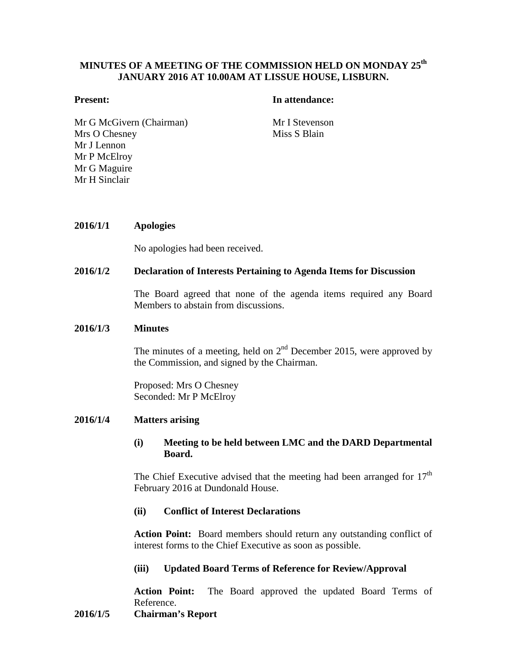# **MINUTES OF A MEETING OF THE COMMISSION HELD ON MONDAY 25th JANUARY 2016 AT 10.00AM AT LISSUE HOUSE, LISBURN.**

## **Present: In attendance:**

Mr G McGivern (Chairman) Mr I Stevenson Mrs O Chesney Mr J Lennon Mr P McElroy Mr G Maguire Mr H Sinclair

Miss S Blain

## **2016/1/1 Apologies**

No apologies had been received.

## **2016/1/2 Declaration of Interests Pertaining to Agenda Items for Discussion**

The Board agreed that none of the agenda items required any Board Members to abstain from discussions.

#### **2016/1/3 Minutes**

The minutes of a meeting, held on  $2<sup>nd</sup>$  December 2015, were approved by the Commission, and signed by the Chairman.

Proposed: Mrs O Chesney Seconded: Mr P McElroy

#### **2016/1/4 Matters arising**

## **(i) Meeting to be held between LMC and the DARD Departmental Board.**

The Chief Executive advised that the meeting had been arranged for  $17<sup>th</sup>$ February 2016 at Dundonald House.

## **(ii) Conflict of Interest Declarations**

**Action Point:** Board members should return any outstanding conflict of interest forms to the Chief Executive as soon as possible.

## **(iii) Updated Board Terms of Reference for Review/Approval**

**Action Point:** The Board approved the updated Board Terms of Reference.

## **2016/1/5 Chairman's Report**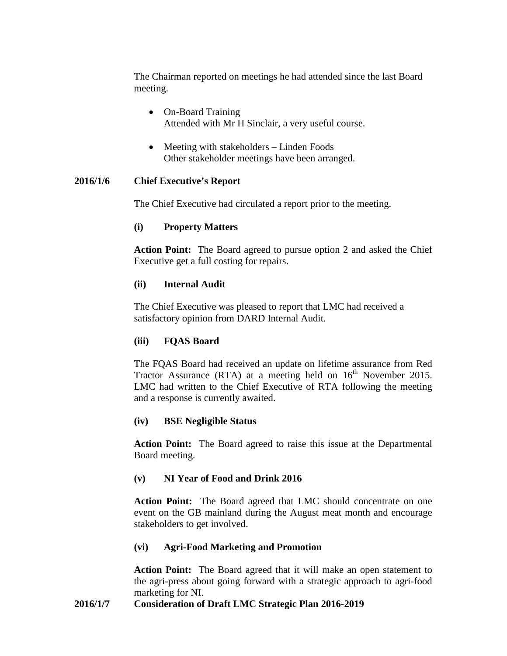The Chairman reported on meetings he had attended since the last Board meeting.

- On-Board Training Attended with Mr H Sinclair, a very useful course.
- Meeting with stakeholders Linden Foods Other stakeholder meetings have been arranged.

# **2016/1/6 Chief Executive's Report**

The Chief Executive had circulated a report prior to the meeting.

# **(i) Property Matters**

**Action Point:** The Board agreed to pursue option 2 and asked the Chief Executive get a full costing for repairs.

# **(ii) Internal Audit**

The Chief Executive was pleased to report that LMC had received a satisfactory opinion from DARD Internal Audit.

# **(iii) FQAS Board**

The FQAS Board had received an update on lifetime assurance from Red Tractor Assurance (RTA) at a meeting held on  $16<sup>th</sup>$  November 2015. LMC had written to the Chief Executive of RTA following the meeting and a response is currently awaited.

## **(iv) BSE Negligible Status**

**Action Point:** The Board agreed to raise this issue at the Departmental Board meeting.

# **(v) NI Year of Food and Drink 2016**

**Action Point:** The Board agreed that LMC should concentrate on one event on the GB mainland during the August meat month and encourage stakeholders to get involved.

# **(vi) Agri-Food Marketing and Promotion**

**Action Point:** The Board agreed that it will make an open statement to the agri-press about going forward with a strategic approach to agri-food marketing for NI.

## **2016/1/7 Consideration of Draft LMC Strategic Plan 2016-2019**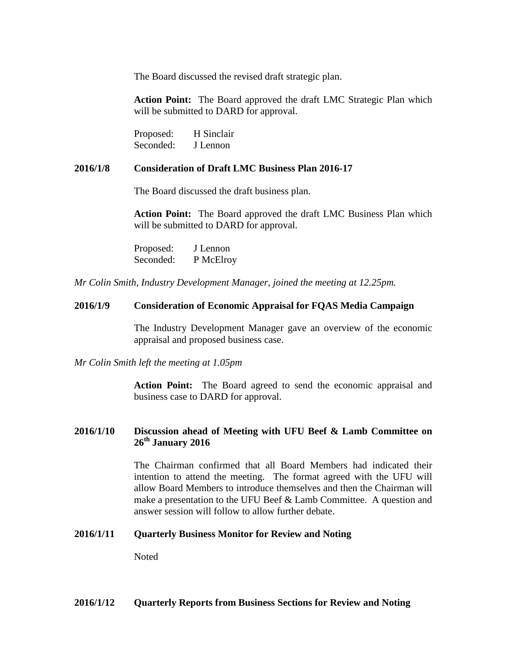The Board discussed the revised draft strategic plan.

**Action Point:** The Board approved the draft LMC Strategic Plan which will be submitted to DARD for approval.

Proposed: H Sinclair Seconded: J Lennon

#### **2016/1/8 Consideration of Draft LMC Business Plan 2016-17**

The Board discussed the draft business plan.

**Action Point:** The Board approved the draft LMC Business Plan which will be submitted to DARD for approval.

Proposed: J Lennon Seconded: P McElroy

*Mr Colin Smith, Industry Development Manager, joined the meeting at 12.25pm.*

## **2016/1/9 Consideration of Economic Appraisal for FQAS Media Campaign**

The Industry Development Manager gave an overview of the economic appraisal and proposed business case.

*Mr Colin Smith left the meeting at 1.05pm*

**Action Point:** The Board agreed to send the economic appraisal and business case to DARD for approval.

## **2016/1/10 Discussion ahead of Meeting with UFU Beef & Lamb Committee on 26th January 2016**

The Chairman confirmed that all Board Members had indicated their intention to attend the meeting. The format agreed with the UFU will allow Board Members to introduce themselves and then the Chairman will make a presentation to the UFU Beef & Lamb Committee. A question and answer session will follow to allow further debate.

#### **2016/1/11 Quarterly Business Monitor for Review and Noting**

Noted

#### **2016/1/12 Quarterly Reports from Business Sections for Review and Noting**